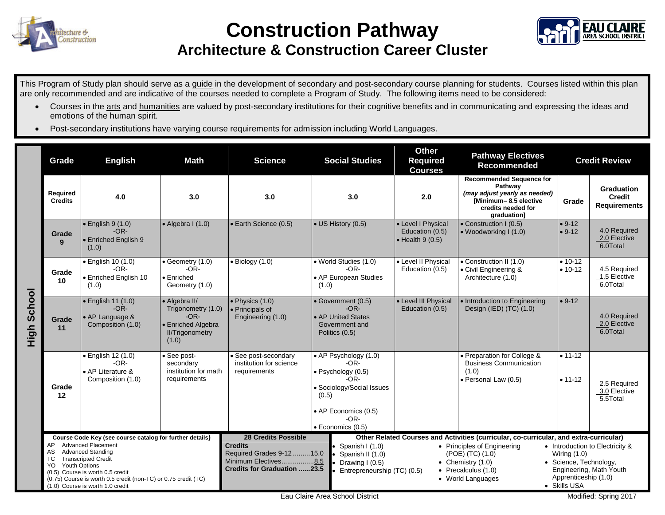

## **Construction Pathway**



## **Architecture & Construction Career Cluster**

This Program of Study plan should serve as a guide in the development of secondary and post-secondary course planning for students. Courses listed within this plan are only recommended and are indicative of the courses needed to complete a Program of Study. The following items need to be considered:

- Courses in the arts and humanities are valued by post-secondary institutions for their cognitive benefits and in communicating and expressing the ideas and emotions of the human spirit.
- Post-secondary institutions have varying course requirements for admission including World Languages.

|                | Grade                                                                                                                                                                                                                                                                                | <b>English</b>                                                         | <b>Math</b>                                                                                            | <b>Science</b>                                                                                             |                                                                                        | <b>Social Studies</b>                                                                                                                                       | <b>Other</b><br><b>Required</b><br><b>Courses</b>                                      | <b>Pathway Electives</b><br><b>Recommended</b>                                                                                            | <b>Credit Review</b>                                                                                                                           |                                                    |  |
|----------------|--------------------------------------------------------------------------------------------------------------------------------------------------------------------------------------------------------------------------------------------------------------------------------------|------------------------------------------------------------------------|--------------------------------------------------------------------------------------------------------|------------------------------------------------------------------------------------------------------------|----------------------------------------------------------------------------------------|-------------------------------------------------------------------------------------------------------------------------------------------------------------|----------------------------------------------------------------------------------------|-------------------------------------------------------------------------------------------------------------------------------------------|------------------------------------------------------------------------------------------------------------------------------------------------|----------------------------------------------------|--|
|                | Required<br><b>Credits</b>                                                                                                                                                                                                                                                           | 4.0                                                                    | 3.0                                                                                                    | 3.0                                                                                                        | 3.0                                                                                    |                                                                                                                                                             | 2.0                                                                                    | <b>Recommended Sequence for</b><br>Pathway<br>(may adjust yearly as needed)<br>[Minimum-8.5 elective<br>credits needed for<br>graduation] | Grade                                                                                                                                          | Graduation<br><b>Credit</b><br><b>Requirements</b> |  |
| School<br>High | Grade<br>9                                                                                                                                                                                                                                                                           | $\bullet$ English 9 (1.0)<br>$-OR-$<br>• Enriched English 9<br>(1.0)   | $\bullet$ Algebra I (1.0)                                                                              | • Earth Science (0.5)                                                                                      |                                                                                        | • US History (0.5)                                                                                                                                          | • Level I Physical<br>Education (0.5)<br>$\bullet$ Health 9 (0.5)                      | • Construction I (0.5)<br>$\bullet$ Woodworking I (1.0)                                                                                   | $• 9-12$<br>$• 9-12$                                                                                                                           | 4.0 Required<br>2.0 Elective<br>6.0Total           |  |
|                | Grade<br>10                                                                                                                                                                                                                                                                          | · English 10 (1.0)<br>$-OR-$<br>• Enriched English 10<br>(1.0)         | • Geometry (1.0)<br>$-OR-$<br>$\bullet$ Enriched<br>Geometry (1.0)                                     | $\bullet$ Biology (1.0)                                                                                    | · World Studies (1.0)<br>$-OR-$<br>• AP European Studies<br>(1.0)                      |                                                                                                                                                             | • Level II Physical<br>Education (0.5)                                                 | • Construction II (1.0)<br>• Civil Engineering &<br>Architecture (1.0)                                                                    | $• 10-12$<br>$• 10-12$                                                                                                                         | 4.5 Required<br>1.5 Elective<br>6.0Total           |  |
|                | Grade<br>11                                                                                                                                                                                                                                                                          | · English 11 (1.0)<br>$-OR-$<br>• AP Language &<br>Composition (1.0)   | • Algebra II/<br>Trigonometry (1.0)<br>$-OR-$<br>· Enriched Algebra<br><b>II/Trigonometry</b><br>(1.0) | $\bullet$ Physics (1.0)<br>• Principals of<br>Engineering (1.0)                                            | • Government (0.5)<br>$-OR-$<br>• AP United States<br>Government and<br>Politics (0.5) |                                                                                                                                                             | • Level III Physical<br>Education (0.5)                                                | · Introduction to Engineering<br>Design (IED) (TC) (1.0)                                                                                  | $• 9-12$                                                                                                                                       | 4.0 Required<br>2.0 Elective<br>6.0Total           |  |
|                | Grade<br>12                                                                                                                                                                                                                                                                          | · English 12 (1.0)<br>$-OR-$<br>• AP Literature &<br>Composition (1.0) | See post-<br>secondary<br>institution for math<br>requirements                                         | · See post-secondary<br>institution for science<br>requirements                                            | (0.5)                                                                                  | • AP Psychology (1.0)<br>$-OR-$<br>• Psychology (0.5)<br>$-OR-$<br>· Sociology/Social Issues<br>• AP Economics (0.5)<br>$-OR-$<br>$\bullet$ Economics (0.5) |                                                                                        | • Preparation for College &<br><b>Business Communication</b><br>(1.0)<br>• Personal Law (0.5)                                             | $• 11 - 12$<br>$• 11 - 12$                                                                                                                     | 2.5 Required<br>3.0 Elective<br>5.5Total           |  |
|                | Course Code Key (see course catalog for further details)                                                                                                                                                                                                                             |                                                                        |                                                                                                        | <b>28 Credits Possible</b>                                                                                 |                                                                                        |                                                                                                                                                             | Other Related Courses and Activities (curricular, co-curricular, and extra-curricular) |                                                                                                                                           |                                                                                                                                                |                                                    |  |
|                | <b>Advanced Placement</b><br>AP<br><b>Advanced Standing</b><br>AS<br><b>Transcripted Credit</b><br><b>TC</b><br><b>Youth Options</b><br>YO<br>(0.5) Course is worth 0.5 credit<br>(0.75) Course is worth 0.5 credit (non-TC) or 0.75 credit (TC)<br>(1.0) Course is worth 1.0 credit |                                                                        |                                                                                                        | <b>Credits</b><br>Required Grades 9-12  15.0<br>Minimum Electives8.5<br><b>Credits for Graduation 23.5</b> |                                                                                        | Spanish I (1.0)<br>Spanish II (1.0)<br>Drawing I (0.5)<br>Entrepreneurship (TC) (0.5)                                                                       |                                                                                        | • Principles of Engineering<br>(POE) (TC) (1.0)<br>• Chemistry $(1.0)$<br>$\bullet$ Precalculus (1.0)<br>• World Languages                | • Introduction to Electricity &<br>Wiring $(1.0)$<br>• Science, Technology,<br>Engineering, Math Youth<br>Apprenticeship (1.0)<br>• Skills USA |                                                    |  |